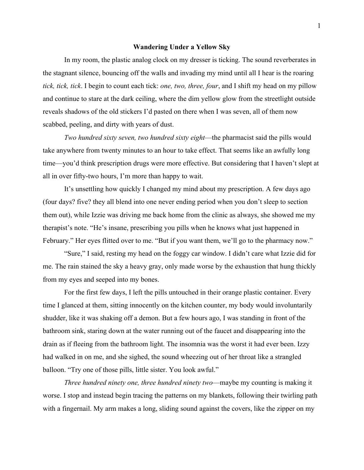## **Wandering Under a Yellow Sky**

In my room, the plastic analog clock on my dresser is ticking. The sound reverberates in the stagnant silence, bouncing off the walls and invading my mind until all I hear is the roaring *tick, tick, tick*. I begin to count each tick: *one, two, three, four*, and I shift my head on my pillow and continue to stare at the dark ceiling, where the dim yellow glow from the streetlight outside reveals shadows of the old stickers I'd pasted on there when I was seven, all of them now scabbed, peeling, and dirty with years of dust.

*Two hundred sixty seven, two hundred sixty eight*—the pharmacist said the pills would take anywhere from twenty minutes to an hour to take effect. That seems like an awfully long time—you'd think prescription drugs were more effective. But considering that I haven't slept at all in over fifty-two hours, I'm more than happy to wait.

It's unsettling how quickly I changed my mind about my prescription. A few days ago (four days? five? they all blend into one never ending period when you don't sleep to section them out), while Izzie was driving me back home from the clinic as always, she showed me my therapist's note. "He's insane, prescribing you pills when he knows what just happened in February." Her eyes flitted over to me. "But if you want them, we'll go to the pharmacy now."

"Sure," I said, resting my head on the foggy car window. I didn't care what Izzie did for me. The rain stained the sky a heavy gray, only made worse by the exhaustion that hung thickly from my eyes and seeped into my bones.

For the first few days, I left the pills untouched in their orange plastic container. Every time I glanced at them, sitting innocently on the kitchen counter, my body would involuntarily shudder, like it was shaking off a demon. But a few hours ago, I was standing in front of the bathroom sink, staring down at the water running out of the faucet and disappearing into the drain as if fleeing from the bathroom light. The insomnia was the worst it had ever been. Izzy had walked in on me, and she sighed, the sound wheezing out of her throat like a strangled balloon. "Try one of those pills, little sister. You look awful."

*Three hundred ninety one, three hundred ninety two*—maybe my counting is making it worse. I stop and instead begin tracing the patterns on my blankets, following their twirling path with a fingernail. My arm makes a long, sliding sound against the covers, like the zipper on my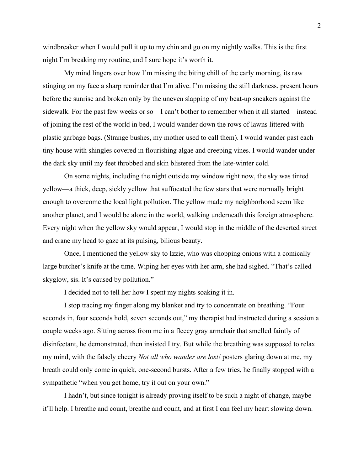windbreaker when I would pull it up to my chin and go on my nightly walks. This is the first night I'm breaking my routine, and I sure hope it's worth it.

My mind lingers over how I'm missing the biting chill of the early morning, its raw stinging on my face a sharp reminder that I'm alive. I'm missing the still darkness, present hours before the sunrise and broken only by the uneven slapping of my beat-up sneakers against the sidewalk. For the past few weeks or so—I can't bother to remember when it all started—instead of joining the rest of the world in bed, I would wander down the rows of lawns littered with plastic garbage bags. (Strange bushes, my mother used to call them). I would wander past each tiny house with shingles covered in flourishing algae and creeping vines. I would wander under the dark sky until my feet throbbed and skin blistered from the late-winter cold.

On some nights, including the night outside my window right now, the sky was tinted yellow—a thick, deep, sickly yellow that suffocated the few stars that were normally bright enough to overcome the local light pollution. The yellow made my neighborhood seem like another planet, and I would be alone in the world, walking underneath this foreign atmosphere. Every night when the yellow sky would appear, I would stop in the middle of the deserted street and crane my head to gaze at its pulsing, bilious beauty.

Once, I mentioned the yellow sky to Izzie, who was chopping onions with a comically large butcher's knife at the time. Wiping her eyes with her arm, she had sighed. "That's called skyglow, sis. It's caused by pollution."

I decided not to tell her how I spent my nights soaking it in.

I stop tracing my finger along my blanket and try to concentrate on breathing. "Four seconds in, four seconds hold, seven seconds out," my therapist had instructed during a session a couple weeks ago. Sitting across from me in a fleecy gray armchair that smelled faintly of disinfectant, he demonstrated, then insisted I try. But while the breathing was supposed to relax my mind, with the falsely cheery *Not all who wander are lost!* posters glaring down at me, my breath could only come in quick, one-second bursts. After a few tries, he finally stopped with a sympathetic "when you get home, try it out on your own."

I hadn't, but since tonight is already proving itself to be such a night of change, maybe it'll help. I breathe and count, breathe and count, and at first I can feel my heart slowing down.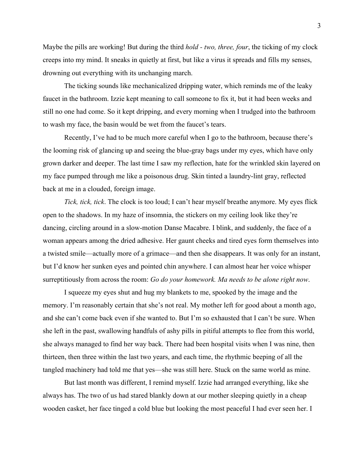Maybe the pills are working! But during the third *hold - two, three, four*, the ticking of my clock creeps into my mind. It sneaks in quietly at first, but like a virus it spreads and fills my senses, drowning out everything with its unchanging march.

The ticking sounds like mechanicalized dripping water, which reminds me of the leaky faucet in the bathroom. Izzie kept meaning to call someone to fix it, but it had been weeks and still no one had come. So it kept dripping, and every morning when I trudged into the bathroom to wash my face, the basin would be wet from the faucet's tears.

Recently, I've had to be much more careful when I go to the bathroom, because there's the looming risk of glancing up and seeing the blue-gray bags under my eyes, which have only grown darker and deeper. The last time I saw my reflection, hate for the wrinkled skin layered on my face pumped through me like a poisonous drug. Skin tinted a laundry-lint gray, reflected back at me in a clouded, foreign image.

*Tick, tick, tick*. The clock is too loud; I can't hear myself breathe anymore. My eyes flick open to the shadows. In my haze of insomnia, the stickers on my ceiling look like they're dancing, circling around in a slow-motion Danse Macabre. I blink, and suddenly, the face of a woman appears among the dried adhesive. Her gaunt cheeks and tired eyes form themselves into a twisted smile—actually more of a grimace—and then she disappears. It was only for an instant, but I'd know her sunken eyes and pointed chin anywhere. I can almost hear her voice whisper surreptitiously from across the room: *Go do your homework. Ma needs to be alone right now*.

I squeeze my eyes shut and hug my blankets to me, spooked by the image and the memory. I'm reasonably certain that she's not real. My mother left for good about a month ago, and she can't come back even if she wanted to. But I'm so exhausted that I can't be sure. When she left in the past, swallowing handfuls of ashy pills in pitiful attempts to flee from this world, she always managed to find her way back. There had been hospital visits when I was nine, then thirteen, then three within the last two years, and each time, the rhythmic beeping of all the tangled machinery had told me that yes—she was still here. Stuck on the same world as mine.

But last month was different, I remind myself. Izzie had arranged everything, like she always has. The two of us had stared blankly down at our mother sleeping quietly in a cheap wooden casket, her face tinged a cold blue but looking the most peaceful I had ever seen her. I